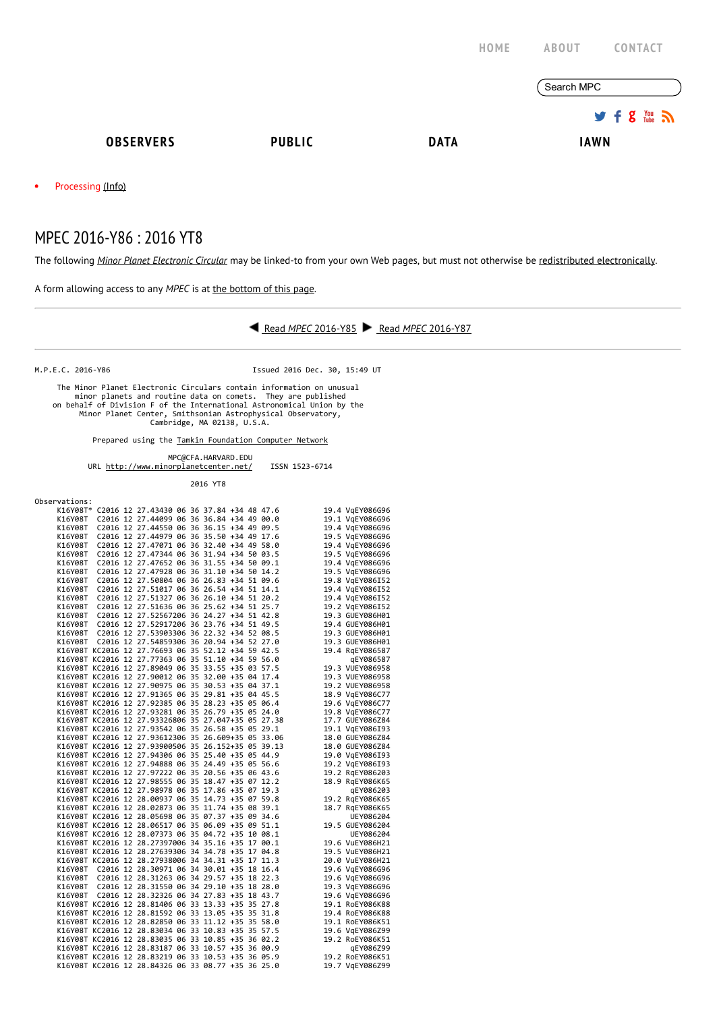|                         |               | HOME        | <b>ABOUT</b><br><b>CONTACT</b>          |
|-------------------------|---------------|-------------|-----------------------------------------|
|                         |               |             | Search MPC                              |
|                         |               |             | $9.5$ $\frac{100}{20}$ $\frac{100}{20}$ |
| <b>OBSERVERS</b>        | <b>PUBLIC</b> | <b>DATA</b> | <b>IAWN</b>                             |
| Processing (Info)<br>٠  |               |             |                                         |
| MPEC 2016-Y86: 2016 YT8 |               |             |                                         |

The following Minor Planet [Electronic](http://www.minorplanetcenter.net/iau/services/MPEC.html) Circular may be linked-to from your own Web pages, but must not otherwise be redistributed [electronically](http://www.minorplanetcenter.net/iau/WWWPolicy.html).

A form allowing access to any MPEC is at the [bottom](http://www.minorplanetcenter.net/mpec/K16/K16Y86.html#form) of this page.



M.P.E.C. 2016‐Y86 Issued 2016 Dec. 30, 15:49 UT

The Minor Planet Electronic Circulars contain information on unusual<br>minor planets and routine data on comets. They are published<br>on behalf of Division F of the International Astronomical Union by the<br>Minor Planet Center,

Prepared using the Tamkin [Foundation](http://www.minorplanetcenter.net/iau/Ack/TamkinFoundation.html) Computer Network

MPC@CFA.HARVARD.EDU

| URL http://www.minorplanetcenter.net/ | ISSN 1523-6714 |
|---------------------------------------|----------------|
| 2016 YT8                              |                |

| Observations: |                                                     |  |  |                                    |
|---------------|-----------------------------------------------------|--|--|------------------------------------|
|               | K16Y08T* C2016 12 27.43430 06 36 37.84 +34 48 47.6  |  |  | 19.4 VgEY086G96                    |
|               | K16Y08T C2016 12 27.44099 06 36 36.84 +34 49 00.0   |  |  | 19.1 VgEY086G96                    |
| K16Y08T       | C2016 12 27.44550 06 36 36.15 +34 49 09.5           |  |  | 19.4 VgEY086G96                    |
| K16Y08T       | C2016 12 27.44979 06 36 35.50 +34 49 17.6           |  |  | 19.5 VgEY086G96                    |
| K16Y08T       | C2016 12 27.47071 06 36 32.40 +34 49 58.0           |  |  | 19.4 VgEY086G96                    |
| K16Y08T       | C2016 12 27.47344 06 36 31.94 +34 50 03.5           |  |  | 19.5 VqEY086G96                    |
| K16Y08T       | C2016 12 27.47652 06 36 31.55 +34 50 09.1           |  |  | 19.4 VgEY086G96                    |
| K16Y08T       | C2016 12 27.47928 06 36 31.10 +34 50 14.2           |  |  | 19.5 VgEY086G96                    |
| K16Y08T       | C2016 12 27.50804 06 36 26.83 +34 51 09.6           |  |  | 19.8 VqEY086I52                    |
| K16Y08T       | C2016 12 27.51017 06 36 26.54 +34 51 14.1           |  |  | 19.4 VgEY086I52                    |
| K16Y08T       | C2016 12 27.51327 06 36 26.10 +34 51 20.2           |  |  | 19.4 VgEY086I52                    |
| K16Y08T       | C2016 12 27.51636 06 36 25.62 +34 51 25.7           |  |  | 19.2 VqEY086I52                    |
| K16Y08T       | C2016 12 27.52567206 36 24.27 +34 51 42.8           |  |  | 19.3 GUEY086H01                    |
|               | K16Y08T C2016 12 27.52917206 36 23.76 +34 51 49.5   |  |  | 19.4 GUEY086H01                    |
| K16Y08T       | C2016 12 27.53903306 36 22.32 +34 52 08.5           |  |  | 19.3 GUEY086H01                    |
|               | K16Y08T C2016 12 27.54859306 36 20.94 +34 52 27.0   |  |  | 19.3 GUEY086H01                    |
|               | K16Y08T KC2016 12 27.76693 06 35 52.12 +34 59 42.5  |  |  | 19.4 RgEY086587                    |
|               | K16Y08T KC2016 12 27.77363 06 35 51.10 +34 59 56.0  |  |  |                                    |
|               | K16Y08T KC2016 12 27.89049 06 35 33.55 +35 03 57.5  |  |  | qEY086587                          |
|               |                                                     |  |  | 19.3 VUEY086958<br>19.3 VUEY086958 |
|               | K16Y08T KC2016 12 27.90012 06 35 32.00 +35 04 17.4  |  |  |                                    |
|               | K16Y08T KC2016 12 27.90975 06 35 30.53 +35 04 37.1  |  |  | 19.2 VUEY086958                    |
|               | K16Y08T KC2016 12 27.91365 06 35 29.81 +35 04 45.5  |  |  | 18.9 VgEY086C77                    |
|               | K16Y08T KC2016 12 27.92385 06 35 28.23 +35 05 06.4  |  |  | 19.6 VgEY086C77                    |
|               | K16Y08T KC2016 12 27.93281 06 35 26.79 +35 05 24.0  |  |  | 19.8 VgEY086C77                    |
|               | K16Y08T KC2016 12 27.93326806 35 27.047+35 05 27.38 |  |  | 17.7 GUEY086Z84                    |
|               | K16Y08T KC2016 12 27.93542 06 35 26.58 +35 05 29.1  |  |  | 19.1 VqEY086I93                    |
|               | K16Y08T KC2016 12 27.93612306 35 26.609+35 05 33.06 |  |  | 18.0 GUEY086Z84                    |
|               | K16Y08T KC2016 12 27.93900506 35 26.152+35 05 39.13 |  |  | 18.0 GUEY086Z84                    |
|               | K16Y08T KC2016 12 27.94306 06 35 25.40 +35 05 44.9  |  |  | 19.0 VgEY086I93                    |
|               | K16Y08T KC2016 12 27.94888 06 35 24.49 +35 05 56.6  |  |  | 19.2 VqEY086I93                    |
|               | K16Y08T KC2016 12 27.97222 06 35 20.56 +35 06 43.6  |  |  | 19.2 RgEY086203                    |
|               | K16Y08T KC2016 12 27.98555 06 35 18.47 +35 07 12.2  |  |  | 18.9 RgEY086K65                    |
|               | K16Y08T KC2016 12 27.98978 06 35 17.86 +35 07 19.3  |  |  | qEY086203                          |
|               | K16Y08T KC2016 12 28.00937 06 35 14.73 +35 07 59.8  |  |  | 19.2 RgEY086K65                    |
|               | K16Y08T KC2016 12 28.02873 06 35 11.74 +35 08 39.1  |  |  | 18.7 RqEY086K65                    |
|               | K16Y08T KC2016 12 28.05698 06 35 07.37 +35 09 34.6  |  |  | UEY086204                          |
|               | K16Y08T KC2016 12 28.06517 06 35 06.09 +35 09 51.1  |  |  | 19.5 GUEY086204                    |
|               | K16Y08T KC2016 12 28.07373 06 35 04.72 +35 10 08.1  |  |  | UEY086204                          |
|               | K16Y08T KC2016 12 28.27397006 34 35.16 +35 17 00.1  |  |  | 19.6 VuEY086H21                    |
|               | K16Y08T KC2016 12 28.27639306 34 34.78 +35 17 04.8  |  |  | 19.5 VuEY086H21                    |
|               | K16Y08T KC2016 12 28.27938006 34 34.31 +35 17 11.3  |  |  | 20.0 VuEY086H21                    |
| K16Y08T       | C2016 12 28.30971 06 34 30.01 +35 18 16.4           |  |  | 19.6 VqEY086G96                    |
| K16Y08T       | C2016 12 28.31263 06 34 29.57 +35 18 22.3           |  |  | 19.6 VqEY086G96                    |
|               | K16Y08T C2016 12 28.31550 06 34 29.10 +35 18 28.0   |  |  | 19.3 VgEY086G96                    |
|               | K16Y08T C2016 12 28.32326 06 34 27.83 +35 18 43.7   |  |  | 19.6 VgEY086G96                    |
|               | K16Y08T KC2016 12 28.81406 06 33 13.33 +35 35 27.8  |  |  | 19.1 RoEY086K88                    |
|               | K16Y08T KC2016 12 28.81592 06 33 13.05 +35 35 31.8  |  |  | 19.4 RoEY086K88                    |
|               | K16Y08T KC2016 12 28.82850 06 33 11.12 +35 35 58.0  |  |  | 19.1 RoEY086K51                    |
|               | K16Y08T KC2016 12 28.83034 06 33 10.83 +35 35 57.5  |  |  | 19.6 VgEY086Z99                    |
|               | K16Y08T KC2016 12 28.83035 06 33 10.85 +35 36 02.2  |  |  | 19.2 RoEY086K51                    |
|               | K16Y08T KC2016 12 28.83187 06 33 10.57 +35 36 00.9  |  |  | qEY086Z99                          |
|               | K16Y08T KC2016 12 28.83219 06 33 10.53 +35 36 05.9  |  |  | 19.2 RoEY086K51                    |
|               | K16Y08T KC2016 12 28.84326 06 33 08.77 +35 36 25.0  |  |  | 19.7 VqEY086Z99                    |
|               |                                                     |  |  |                                    |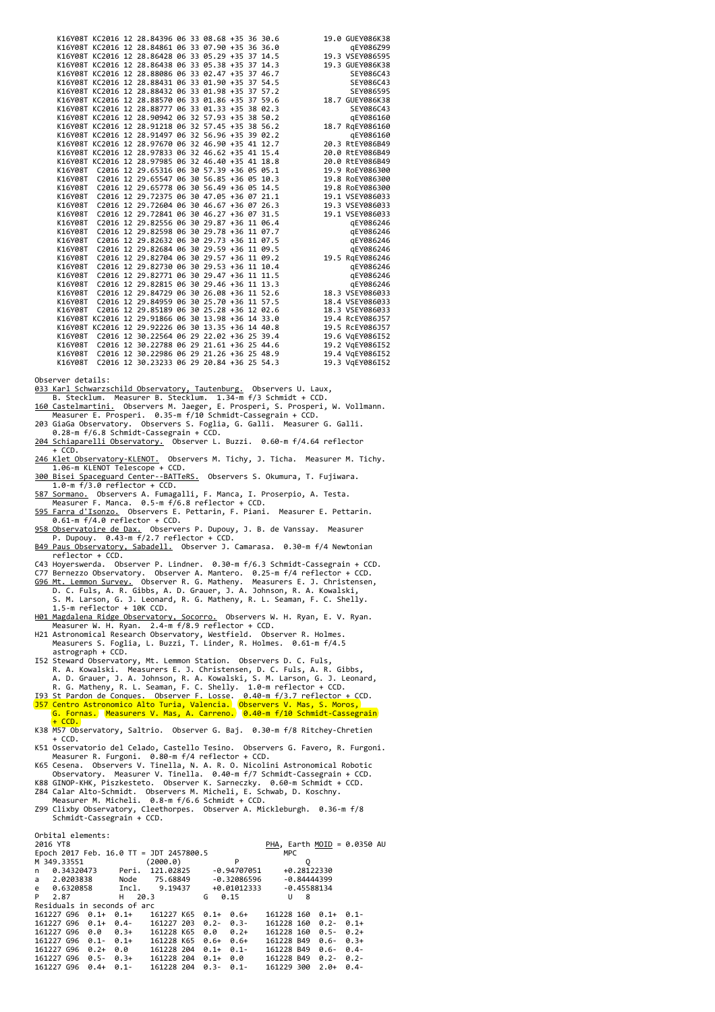|         |  | K16Y08T KC2016 12 28.84396 06 33 08.68 +35 36 30.6 |  |  |  | 19.0 GUEY086K38 |
|---------|--|----------------------------------------------------|--|--|--|-----------------|
|         |  | K16Y08T KC2016 12 28.84861 06 33 07.90 +35 36 36.0 |  |  |  | qEY086Z99       |
|         |  | K16Y08T KC2016 12 28.86428 06 33 05.29 +35 37 14.5 |  |  |  | 19.3 VSEY086595 |
|         |  | K16Y08T KC2016 12 28.86438 06 33 05.38 +35 37 14.3 |  |  |  | 19.3 GUEY086K38 |
|         |  | K16Y08T KC2016 12 28.88086 06 33 02.47 +35 37 46.7 |  |  |  | SEY086C43       |
|         |  | K16Y08T KC2016 12 28.88431 06 33 01.90 +35 37 54.5 |  |  |  | SEY086C43       |
|         |  | K16Y08T KC2016 12 28.88432 06 33 01.98 +35 37 57.2 |  |  |  | SEY086595       |
|         |  | K16Y08T KC2016 12 28.88570 06 33 01.86 +35 37 59.6 |  |  |  | 18.7 GUEY086K38 |
|         |  | K16Y08T KC2016 12 28.88777 06 33 01.33 +35 38 02.3 |  |  |  | SEY086C43       |
|         |  | K16Y08T KC2016 12 28.90942 06 32 57.93 +35 38 50.2 |  |  |  | gEY086160       |
|         |  | K16Y08T KC2016 12 28.91218 06 32 57.45 +35 38 56.2 |  |  |  | 18.7 RgEY086160 |
|         |  | K16Y08T KC2016 12 28.91497 06 32 56.96 +35 39 02.2 |  |  |  | qEY086160       |
|         |  | K16Y08T KC2016 12 28.97670 06 32 46.90 +35 41 12.7 |  |  |  | 20.3 RtEY086B49 |
|         |  | K16Y08T KC2016 12 28.97833 06 32 46.62 +35 41 15.4 |  |  |  | 20.0 RtEY086B49 |
|         |  | K16Y08T KC2016 12 28.97985 06 32 46.40 +35 41 18.8 |  |  |  | 20.0 RtEY086B49 |
| K16Y08T |  | C2016 12 29.65316 06 30 57.39 +36 05 05.1          |  |  |  | 19.9 RoEY086300 |
| K16Y08T |  | C2016 12 29.65547 06 30 56.85 +36 05 10.3          |  |  |  | 19.8 RoEY086300 |
| K16Y08T |  | C2016 12 29.65778 06 30 56.49 +36 05 14.5          |  |  |  | 19.8 RoEY086300 |
| K16Y08T |  | C2016 12 29.72375 06 30 47.05 +36 07 21.1          |  |  |  | 19.1 VSEY086033 |
| K16Y08T |  | C2016 12 29.72604 06 30 46.67 +36 07 26.3          |  |  |  | 19.3 VSEY086033 |
| K16Y08T |  | C2016 12 29.72841 06 30 46.27 +36 07 31.5          |  |  |  | 19.1 VSEY086033 |
| K16Y08T |  | C2016 12 29.82556 06 30 29.87 +36 11 06.4          |  |  |  | gEY086246       |
| K16Y08T |  | C2016 12 29.82598 06 30 29.78 +36 11 07.7          |  |  |  | qEY086246       |
| K16Y08T |  | C2016 12 29.82632 06 30 29.73 +36 11 07.5          |  |  |  | qEY086246       |
| K16Y08T |  | C2016 12 29.82684 06 30 29.59 +36 11 09.5          |  |  |  | gEY086246       |
| K16Y08T |  | C2016 12 29.82704 06 30 29.57 +36 11 09.2          |  |  |  | 19.5 RgEY086246 |
| K16Y08T |  | C2016 12 29.82730 06 30 29.53 +36 11 10.4          |  |  |  | gEY086246       |
| K16Y08T |  | C2016 12 29.82771 06 30 29.47 +36 11 11.5          |  |  |  | gEY086246       |
| K16Y08T |  | C2016 12 29.82815 06 30 29.46 +36 11 13.3          |  |  |  | qEY086246       |
| K16Y08T |  | C2016 12 29.84729 06 30 26.08 +36 11 52.6          |  |  |  | 18.3 VSEY086033 |
| K16Y08T |  | C2016 12 29.84959 06 30 25.70 +36 11 57.5          |  |  |  | 18.4 VSEY086033 |
| K16Y08T |  | C2016 12 29.85189 06 30 25.28 +36 12 02.6          |  |  |  | 18.3 VSEY086033 |
|         |  | K16Y08T KC2016 12 29.91866 06 30 13.98 +36 14 33.0 |  |  |  | 19.4 RcEY086J57 |
|         |  | K16Y08T KC2016 12 29.92226 06 30 13.35 +36 14 40.8 |  |  |  | 19.5 RcEY086J57 |
| K16Y08T |  | C2016 12 30.22564 06 29 22.02 +36 25 39.4          |  |  |  | 19.6 VqEY086I52 |
| K16Y08T |  | C2016 12 30.22788 06 29 21.61 +36 25 44.6          |  |  |  | 19.2 VqEY086I52 |
| K16Y08T |  | C2016 12 30.22986 06 29 21.26 +36 25 48.9          |  |  |  | 19.4 VgEY086I52 |
| K16Y08T |  | C2016 12 30.23233 06 29 20.84 +36 25 54.3          |  |  |  | 19.3 VgEY086I52 |

Observer details:

- 
- 
- 033 Karl [Schwarzschild](http://www.tls-tautenburg.de/) Observatory, Tautenburg, Observers U. Laux,<br>B. Stecklum. Measurer B. Stecklum. 1.34-m f/3 Schmidt + CCD.<br><u>160 [Castelmartini.](http://www.webalice.it/e.prosperi/)</u> Observers M. Jaeger, E. Prosperi, S. Prosperi, W. Vollmann.<br>Measurer E. P
- 203 GiaGa Observatory. Observers S. Foglia, G. Galli. Measurer G. Galli. 0.28‐m f/6.8 Schmidt‐Cassegrain + CCD. 204 [Schiaparelli](http://www.astrogeo.va.it/) Observatory. Observer L. Buzzi. 0.60‐m f/4.64 reflector
- $+$  CCD.
- 246 Klet [Observatory‐KLENOT.](http://www.klet.org/) Observers M. Tichy, J. Ticha. Measurer M. Tichy. 1.06‐m KLENOT Telescope + CCD. 300 Bisei Spaceguard [Center‐‐BATTeRS.](http://www.spaceguard.or.jp/ja/e_index.html) Observers S. Okumura, T. Fujiwara.
- 1.0‐m f/3.0 reflector + CCD. 587 [Sormano.](http://www.brera.mi.astro.it/sormano/) Observers A. Fumagalli, F. Manca, I. Proserpio, A. Testa. Measurer F. Manca. 0.5‐m f/6.8 reflector + CCD.
- 595 Farra [d'Isonzo.](http://www.ccaf.it/Pages/indexen.html) Observers E. Pettarin, F. Piani. Measurer E. Pettarin.<br>0.61-m f/4.0 reflector + CCD.
- 958 [Observatoire](http://www.astrosurf.com/obsdax) de Dax. Observers P. Dupouy, J. B. de Vanssay. Measurer<br>P. Dupouy. 0.43-m f/2.7 reflector + CCD.
- B49 Paus [Observatory,](http://obspausb49.blogspot.com.es/) Sabadell. Observer J. Camarasa. 0.30‐m f/4 Newtonian reflector + CCD.
- C43 Hoyerswerda. Observer P. Lindner. 0.30‐m f/6.3 Schmidt‐Cassegrain + CCD.
- 
- C77 Bernezzo Observatory. Observer A. Mantero. 0.25-m f/4 reflector + CCD.<br><u>G96 Mt. Lemmon [Survey.](http://www.lpl.arizona.edu/css/)</u> Observer R. G. Matheny. Measurers E. J. Christensen,<br>D. C. Fuls, A. R. Gibbs, A. D. Grauer, J. A. Johnson, R. A. Kowalski,
- 
- S. M. Larson, G. J. Leonard, R. G. Matheny, R. L. Seaman, F. C. Shelly.<br>1.5-m reflector + 10K CCD.<br><u>H91 Magdalena Ridge [Observatory,](http://www.mro.nmt.edu/) Socorro.</u> Observers W. H. Ryan, E. V. Ryan.<br>Measurer W. H. Ryan. 2.4-m f/8.9 reflector +
- I52 Steward Observatory, Mt. Lemmon Station. Observers D. C. Fuls,
- R. A. Kowalski. Measurers E. J. Christensen, D. C. Fuls, A. R. Gibbs, A. D. Grauer, J. A. Johnson, R. A. Kowalski, S. M. Larson, G. J. Leonard,
- 
- R. G. Matheny, R. L. Seaman, F. C. Shelly. 1.0-m reflector + CCD.<br>193 St Pardon de Conques. Observer F. Losse. 0.40-m f/3.7 reflector + CCD.<br><mark>157 Centro Astronomico Alto Turia, Valencia. Observers V. Mas, S. Moros,</mark><br>G. For
- $\overline{CD}$
- K38 M57 Observatory, Saltrio. Observer G. Baj. 0.30-m f/8 Ritchey-Chretien<br>+ CCD.
- 
- 
- 
- + CCD.<br>KS1 Osservatorio del Celado, Castello Tesino. Observers G. Favero, R. Furgoni.<br>Measurer R. Furgoni. 0.80-m f/4 reflector + CCD.<br>K65 Cesena. Observers V. Tinella, N. A. R. O. Nicolini Astronomical Robotic<br>Observatory

Orbital elements:

| 2016 YT8                                          |        |                      |  |                                    |                            |               | PHA, Earth MOID = $0.0350$ AU |  |
|---------------------------------------------------|--------|----------------------|--|------------------------------------|----------------------------|---------------|-------------------------------|--|
| Epoch 2017 Feb. 16.0 TT = JDT 2457800.5           |        |                      |  |                                    | MPC.                       |               |                               |  |
| M 349.33551                                       |        | (2000.0)             |  | P                                  |                            | Q             |                               |  |
|                                                   |        |                      |  |                                    |                            | +0.28122330   |                               |  |
| a 2.0203838 Node 75.68849                         |        |                      |  | -0.32086596                        |                            | $-0.84444399$ |                               |  |
| e 0.6320858 Incl. 9.19437 +0.01012333 -0.45588134 |        |                      |  |                                    |                            |               |                               |  |
| P 2.87                                            | H 20.3 |                      |  | $G \quad 0.15$                     |                            | $U$ 8         |                               |  |
| Residuals in seconds of arc                       |        |                      |  |                                    |                            |               |                               |  |
|                                                   |        |                      |  |                                    | $161228$ 160 $0.1+0.1-$    |               |                               |  |
| 161227 G96 0.1+ 0.4- 161227 203 0.2- 0.3-         |        |                      |  |                                    | 161228 160 0.2- 0.1+       |               |                               |  |
| 161227 G96 0.0 0.3+ 161228 K65                    |        |                      |  | $0.0 \quad 0.2+$                   | $161228$ 160 0.5- 0.2+     |               |                               |  |
| $161227$ G96 $0.1 - 0.1 +$                        |        | 161228 K65 0.6+ 0.6+ |  |                                    | $161228$ B49 $0.6 - 0.3 +$ |               |                               |  |
|                                                   |        | 161228 204           |  | $0.1+0.1-$                         | 161228 B49 0.6- 0.4-       |               |                               |  |
| 161227 696 0.5- 0.3+ 161228 204                   |        |                      |  | $0.1+0.0$ 161228 B49 0.2- 0.2-     |                            |               |                               |  |
| 161227 G96 0.4+ 0.1-                              |        | 161228 204           |  | $0.3 - 0.1 - 1612293002.0 + 0.4 -$ |                            |               |                               |  |